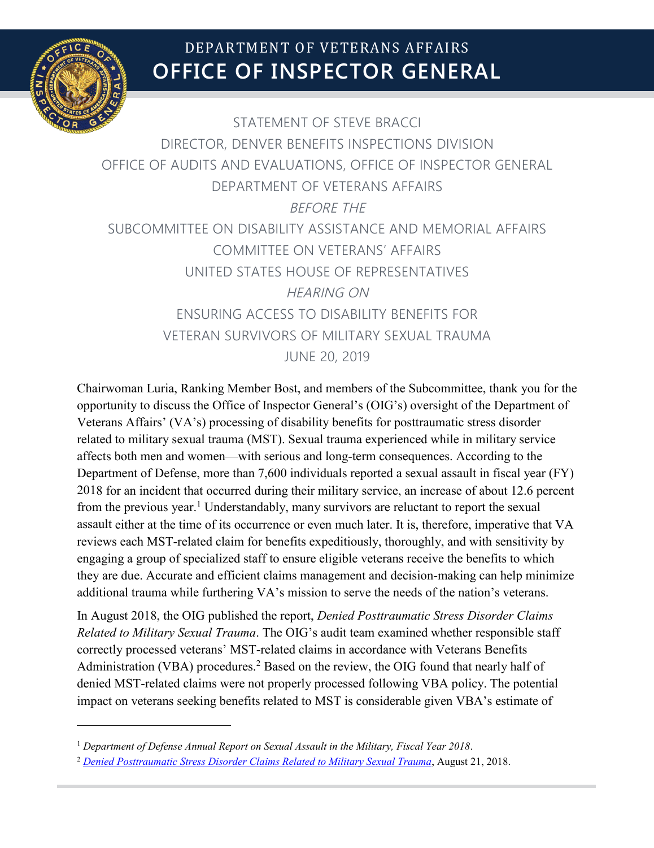

 $\overline{a}$ 

# **OFFICE OF INSPECTOR GENERAL** DEPARTMENT OF VETERANS AFFAIRS

STATEMENT OF STEVE BRACCI DIRECTOR, DENVER BENEFITS INSPECTIONS DIVISION OFFICE OF AUDITS AND EVALUATIONS, OFFICE OF INSPECTOR GENERAL DEPARTMENT OF VETERANS AFFAIRS BEFORE THE SUBCOMMITTEE ON DISABILITY ASSISTANCE AND MEMORIAL AFFAIRS COMMITTEE ON VETERANS' AFFAIRS UNITED STATES HOUSE OF REPRESENTATIVES HEARING ON ENSURING ACCESS TO DISABILITY BENEFITS FOR VETERAN SURVIVORS OF MILITARY SEXUAL TRAUMA JUNE 20, 2019

Chairwoman Luria, Ranking Member Bost, and members of the Subcommittee, thank you for the opportunity to discuss the Office of Inspector General's (OIG's) oversight of the Department of Veterans Affairs' (VA's) processing of disability benefits for posttraumatic stress disorder related to military sexual trauma (MST). Sexual trauma experienced while in military service affects both men and women—with serious and long-term consequences. According to the Department of Defense, more than 7,600 individuals reported a sexual assault in fiscal year (FY) 2018 for an incident that occurred during their military service, an increase of about 12.6 percent from the previous year.<sup>[1](#page-0-0)</sup> Understandably, many survivors are reluctant to report the sexual assault either at the time of its occurrence or even much later. It is, therefore, imperative that VA reviews each MST-related claim for benefits expeditiously, thoroughly, and with sensitivity by engaging a group of specialized staff to ensure eligible veterans receive the benefits to which they are due. Accurate and efficient claims management and decision-making can help minimize additional trauma while furthering VA's mission to serve the needs of the nation's veterans.

In August 2018, the OIG published the report, *Denied Posttraumatic Stress Disorder Claims Related to Military Sexual Trauma*. The OIG's audit team examined whether responsible staff correctly processed veterans' MST-related claims in accordance with Veterans Benefits Administration (VBA) procedures.<sup>[2](#page-0-1)</sup> Based on the review, the OIG found that nearly half of denied MST-related claims were not properly processed following VBA policy. The potential impact on veterans seeking benefits related to MST is considerable given VBA's estimate of

<span id="page-0-0"></span><sup>1</sup> *Department of [Defense Annual Report on Sexual Assault in the Military, Fiscal Year 2018](https://www.sapr.mil/sites/default/files/DoD_Annual_Report_on_Sexual_Assault_in_the_Military.pdf.)*.

<span id="page-0-1"></span><sup>2</sup> *[Denied Posttraumatic Stress Disorder Claims Related to Military Sexual Trauma](https://www.va.gov/oig/pubs/VAOIG-17-05248-241.pdf)*, August 21, 2018.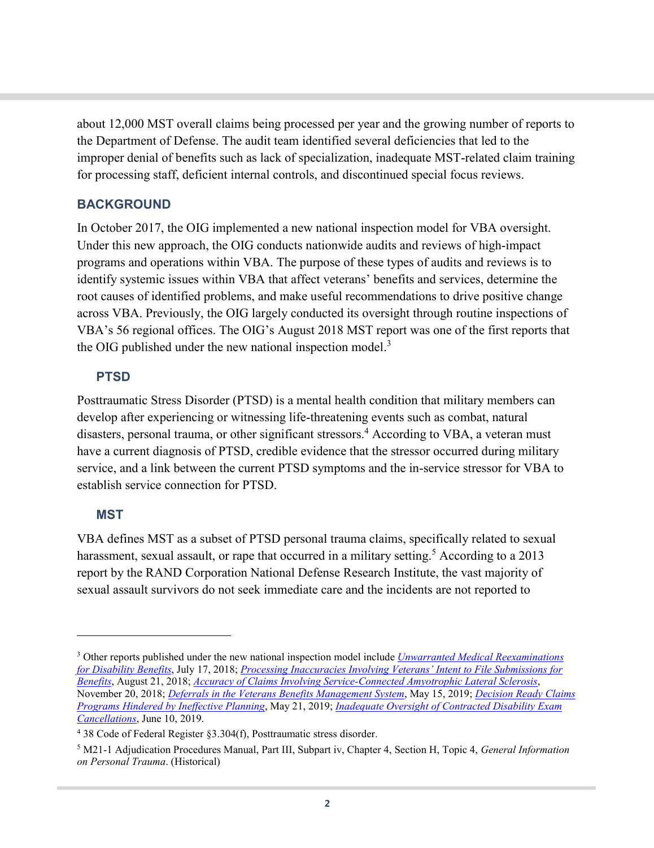about 12,000 MST overall claims being processed per year and the growing number of reports to the Department of Defense. The audit team identified several deficiencies that led to the improper denial of benefits such as lack of specialization, inadequate MST-related claim training for processing staff, deficient internal controls, and discontinued special focus reviews.

## **BACKGROUND**

In October 2017, the OIG implemented a new national inspection model for VBA oversight. Under this new approach, the OIG conducts nationwide audits and reviews of high-impact programs and operations within VBA. The purpose of these types of audits and reviews is to identify systemic issues within VBA that affect veterans' benefits and services, determine the root causes of identified problems, and make useful recommendations to drive positive change across VBA. Previously, the OIG largely conducted its oversight through routine inspections of VBA's 56 regional offices. The OIG's August 2018 MST report was one of the first reports that the OIG published under the new national inspection model.<sup>[3](#page-1-0)</sup>

## **PTSD**

Posttraumatic Stress Disorder (PTSD) is a mental health condition that military members can develop after experiencing or witnessing life-threatening events such as combat, natural disasters, personal trauma, or other significant stressors.<sup>[4](#page-1-1)</sup> According to VBA, a veteran must have a current diagnosis of PTSD, credible evidence that the stressor occurred during military service, and a link between the current PTSD symptoms and the in-service stressor for VBA to establish service connection for PTSD.

#### **MST**

 $\overline{a}$ 

VBA defines MST as a subset of PTSD personal trauma claims, specifically related to sexual harassment, sexual assault, or rape that occurred in a military setting.<sup>[5](#page-1-2)</sup> According to a 2013 report by the RAND Corporation National Defense Research Institute, the vast majority of sexual assault survivors do not seek immediate care and the incidents are not reported to

<span id="page-1-0"></span><sup>3</sup> Other reports published under the new national inspection model include *[Unwarranted Medical Reexaminations](https://www.va.gov/oig/pubs/VAOIG-17-04966-201.pdf)  [for Disability Benefits](https://www.va.gov/oig/pubs/VAOIG-17-04966-201.pdf)*, July 17, 2018; *[Processing Inaccuracies Involving Veterans' Intent to File Submissions for](https://www.va.gov/oig/pubs/VAOIG-17-04919-210.pdf)  [Benefits](https://www.va.gov/oig/pubs/VAOIG-17-04919-210.pdf)*, August 21, 2018; *[Accuracy of Claims Involving Service-Connected Amyotrophic Lateral Sclerosis](https://www.va.gov/oig/pubs/VAOIG-18-00031-05.pdf)*, November 20, 2018; *[Deferrals in the Veterans Benefits Management System](https://www.va.gov/oig/pubs/VAOIG-18-00215-83.pdf)*, May 15, 2019; *[Decision Ready Claims](https://www.va.gov/oig/pubs/VAOIG-18-05130-105.pdf)  [Programs Hindered by Ineffective Planning](https://www.va.gov/oig/pubs/VAOIG-18-05130-105.pdf)*, May 21, 2019; *[Inadequate Oversight of Contracted Disability Exam](https://www.va.gov/oig/pubs/VAOIG-18-04266-115.pdf)  [Cancellations](https://www.va.gov/oig/pubs/VAOIG-18-04266-115.pdf)*, June 10, 2019.

<span id="page-1-1"></span><sup>4</sup> 38 Code of Federal Register §3.304(f), Posttraumatic stress disorder.

<span id="page-1-2"></span><sup>5</sup> M21-1 Adjudication Procedures Manual, Part III, Subpart iv, Chapter 4, Section H, Topic 4, *General Information on Personal Trauma*. (Historical)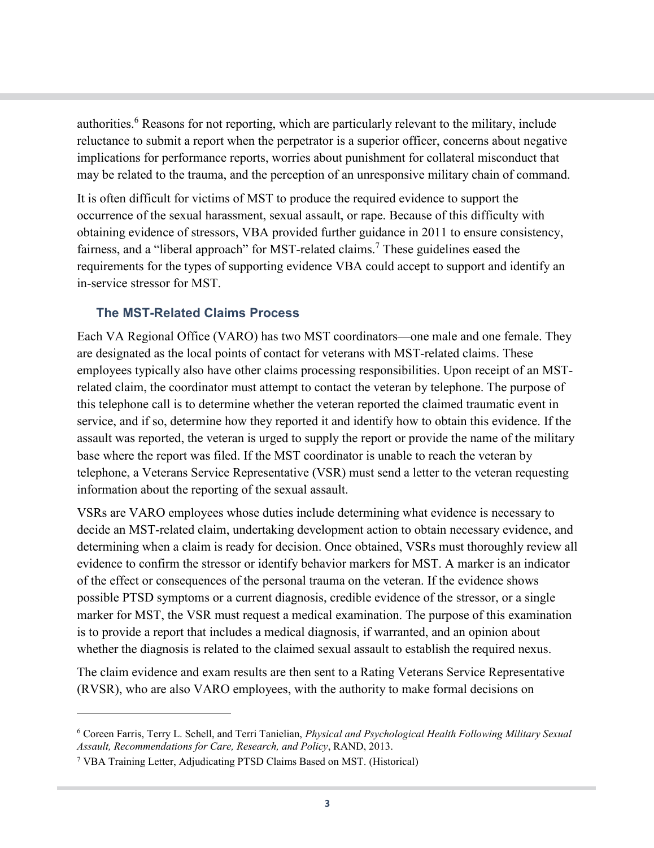authorities.[6](#page-2-0) Reasons for not reporting, which are particularly relevant to the military, include reluctance to submit a report when the perpetrator is a superior officer, concerns about negative implications for performance reports, worries about punishment for collateral misconduct that may be related to the trauma, and the perception of an unresponsive military chain of command.

It is often difficult for victims of MST to produce the required evidence to support the occurrence of the sexual harassment, sexual assault, or rape. Because of this difficulty with obtaining evidence of stressors, VBA provided further guidance in 2011 to ensure consistency, fairness, and a "liberal approach" for MST-related claims.[7](#page-2-1) These guidelines eased the requirements for the types of supporting evidence VBA could accept to support and identify an in-service stressor for MST.

## **The MST-Related Claims Process**

Each VA Regional Office (VARO) has two MST coordinators—one male and one female. They are designated as the local points of contact for veterans with MST-related claims. These employees typically also have other claims processing responsibilities. Upon receipt of an MSTrelated claim, the coordinator must attempt to contact the veteran by telephone. The purpose of this telephone call is to determine whether the veteran reported the claimed traumatic event in service, and if so, determine how they reported it and identify how to obtain this evidence. If the assault was reported, the veteran is urged to supply the report or provide the name of the military base where the report was filed. If the MST coordinator is unable to reach the veteran by telephone, a Veterans Service Representative (VSR) must send a letter to the veteran requesting information about the reporting of the sexual assault.

VSRs are VARO employees whose duties include determining what evidence is necessary to decide an MST-related claim, undertaking development action to obtain necessary evidence, and determining when a claim is ready for decision. Once obtained, VSRs must thoroughly review all evidence to confirm the stressor or identify behavior markers for MST. A marker is an indicator of the effect or consequences of the personal trauma on the veteran. If the evidence shows possible PTSD symptoms or a current diagnosis, credible evidence of the stressor, or a single marker for MST, the VSR must request a medical examination. The purpose of this examination is to provide a report that includes a medical diagnosis, if warranted, and an opinion about whether the diagnosis is related to the claimed sexual assault to establish the required nexus.

The claim evidence and exam results are then sent to a Rating Veterans Service Representative (RVSR), who are also VARO employees, with the authority to make formal decisions on

 $\overline{a}$ 

<span id="page-2-0"></span><sup>6</sup> Coreen Farris, Terry L. Schell, and Terri Tanielian, *Physical and Psychological Health Following Military Sexual Assault, Recommendations for Care, Research, and Policy*, RAND, 2013.

<span id="page-2-1"></span><sup>7</sup> VBA Training Letter, Adjudicating PTSD Claims Based on MST. (Historical)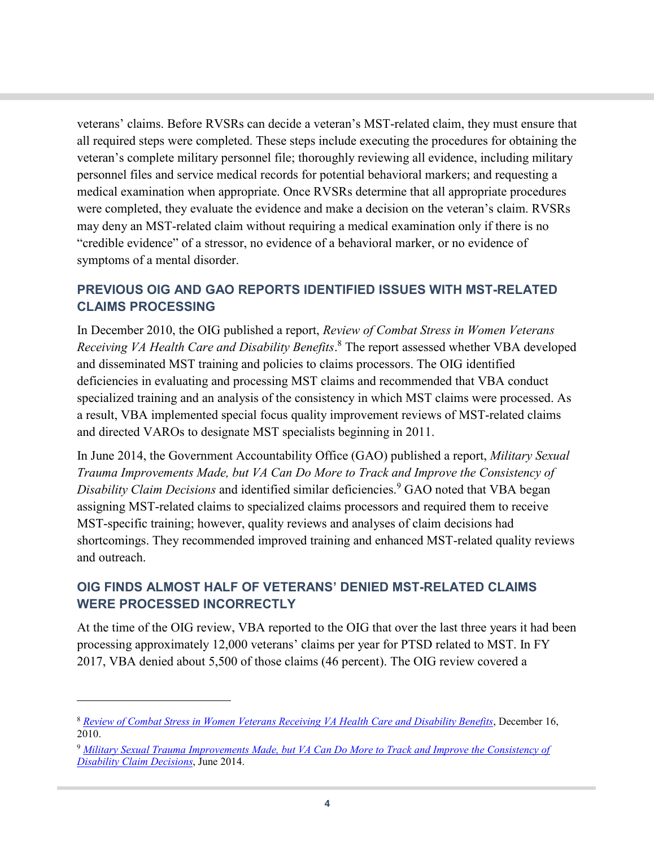veterans' claims. Before RVSRs can decide a veteran's MST-related claim, they must ensure that all required steps were completed. These steps include executing the procedures for obtaining the veteran's complete military personnel file; thoroughly reviewing all evidence, including military personnel files and service medical records for potential behavioral markers; and requesting a medical examination when appropriate. Once RVSRs determine that all appropriate procedures were completed, they evaluate the evidence and make a decision on the veteran's claim. RVSRs may deny an MST-related claim without requiring a medical examination only if there is no "credible evidence" of a stressor, no evidence of a behavioral marker, or no evidence of symptoms of a mental disorder.

## **PREVIOUS OIG AND GAO REPORTS IDENTIFIED ISSUES WITH MST-RELATED CLAIMS PROCESSING**

In December 2010, the OIG published a report, *Review of Combat Stress in Women Veterans Receiving VA Health Care and Disability Benefits*. [8](#page-3-0) The report assessed whether VBA developed and disseminated MST training and policies to claims processors. The OIG identified deficiencies in evaluating and processing MST claims and recommended that VBA conduct specialized training and an analysis of the consistency in which MST claims were processed. As a result, VBA implemented special focus quality improvement reviews of MST-related claims and directed VAROs to designate MST specialists beginning in 2011.

In June 2014, the Government Accountability Office (GAO) published a report, *Military Sexual Trauma Improvements Made, but VA Can Do More to Track and Improve the Consistency of Disability Claim Decisions* and identified similar deficiencies.<sup>[9](#page-3-1)</sup> GAO noted that VBA began assigning MST-related claims to specialized claims processors and required them to receive MST-specific training; however, quality reviews and analyses of claim decisions had shortcomings. They recommended improved training and enhanced MST-related quality reviews and outreach.

## **OIG FINDS ALMOST HALF OF VETERANS' DENIED MST-RELATED CLAIMS WERE PROCESSED INCORRECTLY**

At the time of the OIG review, VBA reported to the OIG that over the last three years it had been processing approximately 12,000 veterans' claims per year for PTSD related to MST. In FY 2017, VBA denied about 5,500 of those claims (46 percent). The OIG review covered a

 $\overline{a}$ 

<span id="page-3-0"></span><sup>8</sup> *[Review of Combat Stress in Women Veterans Receiving VA Health Care and Disability Benefits](https://www.va.gov/oig/52/reports/2011/VAOIG-10-01640-45.pdf)*, December 16, 2010.

<span id="page-3-1"></span><sup>9</sup> *[Military Sexual Trauma Improvements Made, but VA Can Do More to Track and Improve the Consistency of](https://www.gao.gov/assets/670/663964.pdf)  [Disability Claim Decisions](https://www.gao.gov/assets/670/663964.pdf)*, June 2014.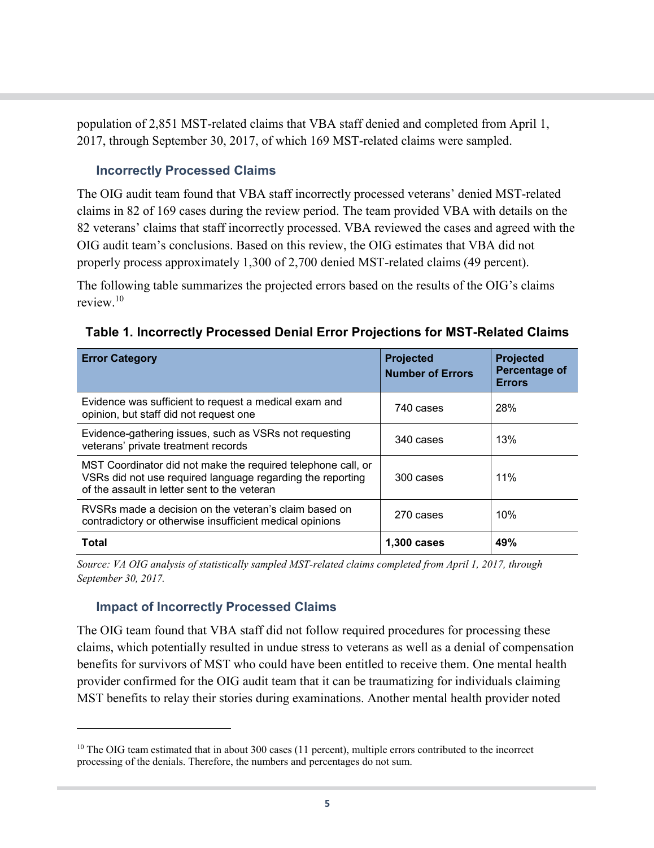population of 2,851 MST-related claims that VBA staff denied and completed from April 1, 2017, through September 30, 2017, of which 169 MST-related claims were sampled.

#### **Incorrectly Processed Claims**

The OIG audit team found that VBA staff incorrectly processed veterans' denied MST-related claims in 82 of 169 cases during the review period. The team provided VBA with details on the 82 veterans' claims that staff incorrectly processed. VBA reviewed the cases and agreed with the OIG audit team's conclusions. Based on this review, the OIG estimates that VBA did not properly process approximately 1,300 of 2,700 denied MST-related claims (49 percent).

The following table summarizes the projected errors based on the results of the OIG's claims review<sup>[10](#page-4-0)</sup>

**Table 1. Incorrectly Processed Denial Error Projections for MST-Related Claims**

| <b>Error Category</b>                                                                                                                                                      | <b>Projected</b><br><b>Number of Errors</b> | <b>Projected</b><br>Percentage of<br><b>Errors</b> |
|----------------------------------------------------------------------------------------------------------------------------------------------------------------------------|---------------------------------------------|----------------------------------------------------|
| Evidence was sufficient to request a medical exam and<br>opinion, but staff did not request one                                                                            | 740 cases                                   | 28%                                                |
| Evidence-gathering issues, such as VSRs not requesting<br>veterans' private treatment records                                                                              | 340 cases                                   | 13%                                                |
| MST Coordinator did not make the required telephone call, or<br>VSRs did not use required language regarding the reporting<br>of the assault in letter sent to the veteran | 300 cases                                   | 11%                                                |
| RVSRs made a decision on the veteran's claim based on<br>contradictory or otherwise insufficient medical opinions                                                          | 270 cases                                   | 10%                                                |
| Total                                                                                                                                                                      | 1,300 cases                                 | 49%                                                |

*Source: VA OIG analysis of statistically sampled MST-related claims completed from April 1, 2017, through September 30, 2017.*

# **Impact of Incorrectly Processed Claims**

 $\overline{a}$ 

The OIG team found that VBA staff did not follow required procedures for processing these claims, which potentially resulted in undue stress to veterans as well as a denial of compensation benefits for survivors of MST who could have been entitled to receive them. One mental health provider confirmed for the OIG audit team that it can be traumatizing for individuals claiming MST benefits to relay their stories during examinations. Another mental health provider noted

<span id="page-4-0"></span><sup>&</sup>lt;sup>10</sup> The OIG team estimated that in about 300 cases (11 percent), multiple errors contributed to the incorrect processing of the denials. Therefore, the numbers and percentages do not sum.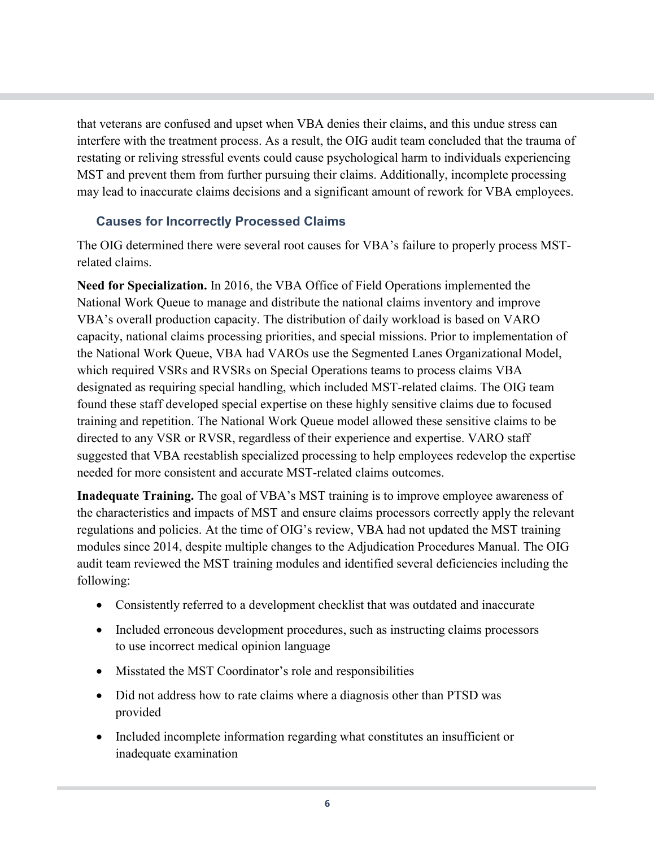that veterans are confused and upset when VBA denies their claims, and this undue stress can interfere with the treatment process. As a result, the OIG audit team concluded that the trauma of restating or reliving stressful events could cause psychological harm to individuals experiencing MST and prevent them from further pursuing their claims. Additionally, incomplete processing may lead to inaccurate claims decisions and a significant amount of rework for VBA employees.

## **Causes for Incorrectly Processed Claims**

The OIG determined there were several root causes for VBA's failure to properly process MSTrelated claims.

**Need for Specialization.** In 2016, the VBA Office of Field Operations implemented the National Work Queue to manage and distribute the national claims inventory and improve VBA's overall production capacity. The distribution of daily workload is based on VARO capacity, national claims processing priorities, and special missions. Prior to implementation of the National Work Queue, VBA had VAROs use the Segmented Lanes Organizational Model, which required VSRs and RVSRs on Special Operations teams to process claims VBA designated as requiring special handling, which included MST-related claims. The OIG team found these staff developed special expertise on these highly sensitive claims due to focused training and repetition. The National Work Queue model allowed these sensitive claims to be directed to any VSR or RVSR, regardless of their experience and expertise. VARO staff suggested that VBA reestablish specialized processing to help employees redevelop the expertise needed for more consistent and accurate MST-related claims outcomes.

**Inadequate Training.** The goal of VBA's MST training is to improve employee awareness of the characteristics and impacts of MST and ensure claims processors correctly apply the relevant regulations and policies. At the time of OIG's review, VBA had not updated the MST training modules since 2014, despite multiple changes to the Adjudication Procedures Manual. The OIG audit team reviewed the MST training modules and identified several deficiencies including the following:

- Consistently referred to a development checklist that was outdated and inaccurate
- · Included erroneous development procedures, such as instructing claims processors to use incorrect medical opinion language
- · Misstated the MST Coordinator's role and responsibilities
- Did not address how to rate claims where a diagnosis other than PTSD was provided
- · Included incomplete information regarding what constitutes an insufficient or inadequate examination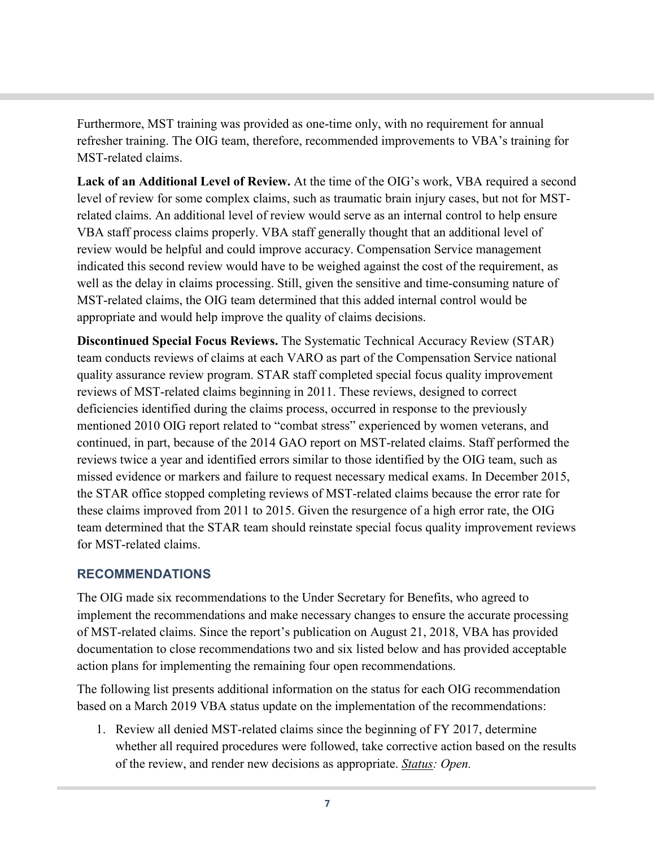Furthermore, MST training was provided as one-time only, with no requirement for annual refresher training. The OIG team, therefore, recommended improvements to VBA's training for MST-related claims.

**Lack of an Additional Level of Review.** At the time of the OIG's work, VBA required a second level of review for some complex claims, such as traumatic brain injury cases, but not for MSTrelated claims. An additional level of review would serve as an internal control to help ensure VBA staff process claims properly. VBA staff generally thought that an additional level of review would be helpful and could improve accuracy. Compensation Service management indicated this second review would have to be weighed against the cost of the requirement, as well as the delay in claims processing. Still, given the sensitive and time-consuming nature of MST-related claims, the OIG team determined that this added internal control would be appropriate and would help improve the quality of claims decisions.

**Discontinued Special Focus Reviews.** The Systematic Technical Accuracy Review (STAR) team conducts reviews of claims at each VARO as part of the Compensation Service national quality assurance review program. STAR staff completed special focus quality improvement reviews of MST-related claims beginning in 2011. These reviews, designed to correct deficiencies identified during the claims process, occurred in response to the previously mentioned 2010 OIG report related to "combat stress" experienced by women veterans, and continued, in part, because of the 2014 GAO report on MST-related claims. Staff performed the reviews twice a year and identified errors similar to those identified by the OIG team, such as missed evidence or markers and failure to request necessary medical exams. In December 2015, the STAR office stopped completing reviews of MST-related claims because the error rate for these claims improved from 2011 to 2015. Given the resurgence of a high error rate, the OIG team determined that the STAR team should reinstate special focus quality improvement reviews for MST-related claims.

#### **RECOMMENDATIONS**

The OIG made six recommendations to the Under Secretary for Benefits, who agreed to implement the recommendations and make necessary changes to ensure the accurate processing of MST-related claims. Since the report's publication on August 21, 2018, VBA has provided documentation to close recommendations two and six listed below and has provided acceptable action plans for implementing the remaining four open recommendations.

The following list presents additional information on the status for each OIG recommendation based on a March 2019 VBA status update on the implementation of the recommendations:

1. Review all denied MST-related claims since the beginning of FY 2017, determine whether all required procedures were followed, take corrective action based on the results of the review, and render new decisions as appropriate. *Status: Open.*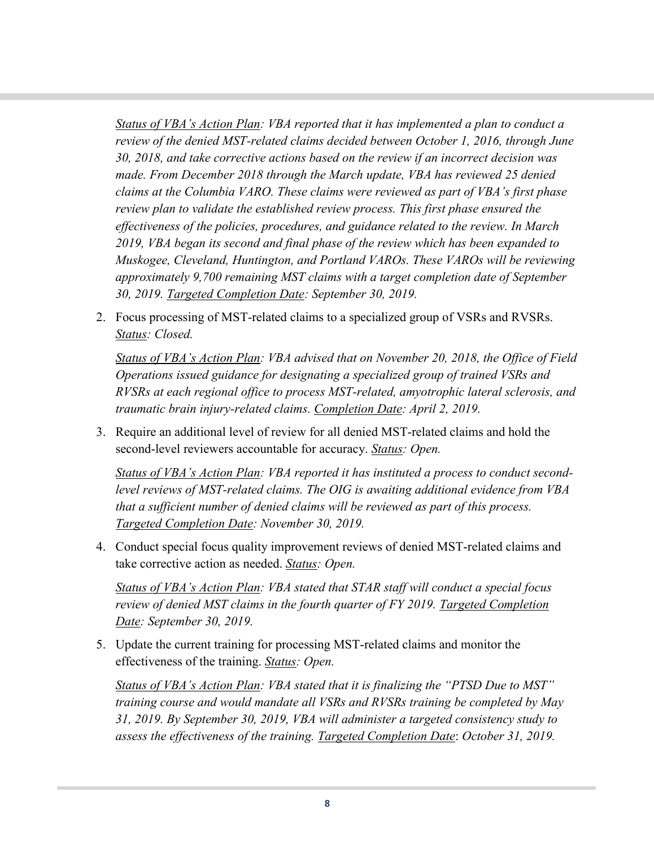*Status of VBA's Action Plan: VBA reported that it has implemented a plan to conduct a review of the denied MST-related claims decided between October 1, 2016, through June 30, 2018, and take corrective actions based on the review if an incorrect decision was made. From December 2018 through the March update, VBA has reviewed 25 denied claims at the Columbia VARO. These claims were reviewed as part of VBA's first phase review plan to validate the established review process. This first phase ensured the effectiveness of the policies, procedures, and guidance related to the review. In March 2019, VBA began its second and final phase of the review which has been expanded to Muskogee, Cleveland, Huntington, and Portland VAROs. These VAROs will be reviewing approximately 9,700 remaining MST claims with a target completion date of September 30, 2019. Targeted Completion Date: September 30, 2019.*

2. Focus processing of MST-related claims to a specialized group of VSRs and RVSRs. *Status: Closed.* 

*Status of VBA's Action Plan: VBA advised that on November 20, 2018, the Office of Field Operations issued guidance for designating a specialized group of trained VSRs and RVSRs at each regional office to process MST-related, amyotrophic lateral sclerosis, and traumatic brain injury-related claims. Completion Date: April 2, 2019.* 

3. Require an additional level of review for all denied MST-related claims and hold the second-level reviewers accountable for accuracy. *Status: Open.*

*Status of VBA's Action Plan: VBA reported it has instituted a process to conduct secondlevel reviews of MST-related claims. The OIG is awaiting additional evidence from VBA that a sufficient number of denied claims will be reviewed as part of this process. Targeted Completion Date: November 30, 2019.* 

4. Conduct special focus quality improvement reviews of denied MST-related claims and take corrective action as needed. *Status: Open.*

*Status of VBA's Action Plan: VBA stated that STAR staff will conduct a special focus review of denied MST claims in the fourth quarter of FY 2019. Targeted Completion Date: September 30, 2019.* 

5. Update the current training for processing MST-related claims and monitor the effectiveness of the training. *Status: Open.* 

*Status of VBA's Action Plan: VBA stated that it is finalizing the "PTSD Due to MST" training course and would mandate all VSRs and RVSRs training be completed by May 31, 2019. By September 30, 2019, VBA will administer a targeted consistency study to assess the effectiveness of the training. Targeted Completion Date*: *October 31, 2019.*